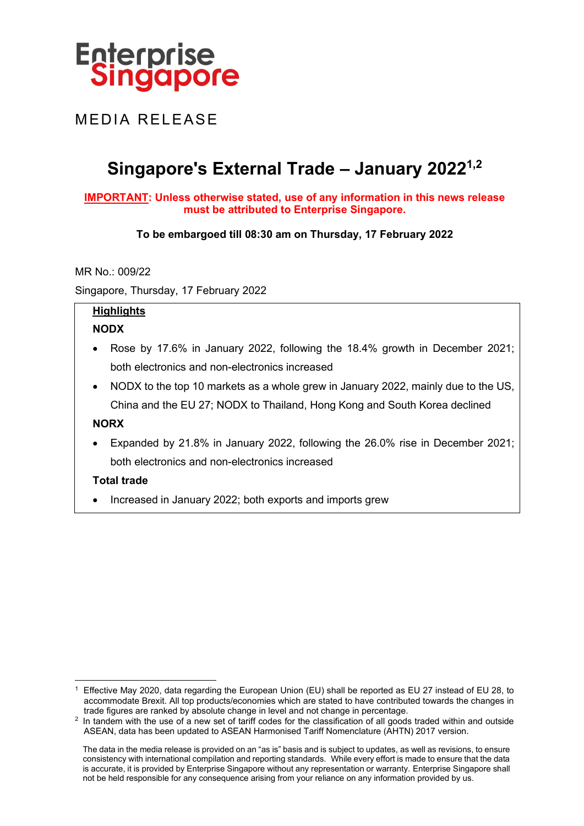

MEDIA RELEASE

# **Singapore's External Trade – January 20221,2**

#### **IMPORTANT: Unless otherwise stated, use of any information in this news release must be attributed to Enterprise Singapore.**

## **To be embargoed till 08:30 am on Thursday, 17 February 2022**

MR No.: 009/22

Singapore, Thursday, 17 February 2022

# **Highlights**

# **NODX**

- Rose by 17.6% in January 2022, following the 18.4% growth in December 2021; both electronics and non-electronics increased
- NODX to the top 10 markets as a whole grew in January 2022, mainly due to the US, China and the EU 27; NODX to Thailand, Hong Kong and South Korea declined

## **NORX**

• Expanded by 21.8% in January 2022, following the 26.0% rise in December 2021; both electronics and non-electronics increased

## **Total trade**

• Increased in January 2022; both exports and imports grew

<sup>1</sup> Effective May 2020, data regarding the European Union (EU) shall be reported as EU 27 instead of EU 28, to accommodate Brexit. All top products/economies which are stated to have contributed towards the changes in trade figures are ranked by absolute change in level and not change in percentage.

<sup>&</sup>lt;sup>2</sup> In tandem with the use of a new set of tariff codes for the classification of all goods traded within and outside ASEAN, data has been updated to ASEAN Harmonised Tariff Nomenclature (AHTN) 2017 version.

The data in the media release is provided on an "as is" basis and is subject to updates, as well as revisions, to ensure consistency with international compilation and reporting standards. While every effort is made to ensure that the data is accurate, it is provided by Enterprise Singapore without any representation or warranty. Enterprise Singapore shall not be held responsible for any consequence arising from your reliance on any information provided by us.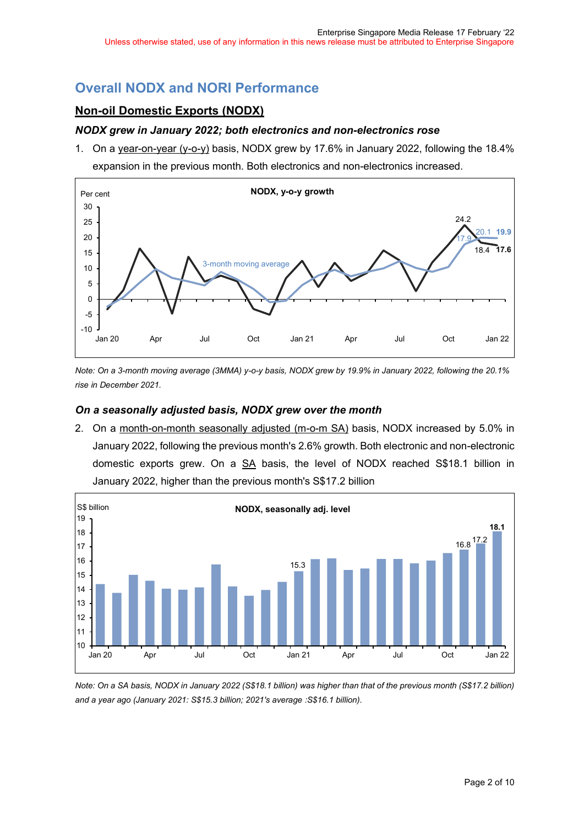# **Overall NODX and NORI Performance**

# **Non-oil Domestic Exports (NODX)**

#### *NODX grew in January 2022; both electronics and non-electronics rose*

1. On a year-on-year (y-o-y) basis, NODX grew by 17.6% in January 2022, following the 18.4% expansion in the previous month. Both electronics and non-electronics increased.



*Note: On a 3-month moving average (3MMA) y-o-y basis, NODX grew by 19.9% in January 2022, following the 20.1% rise in December 2021.*

#### *On a seasonally adjusted basis, NODX grew over the month*

2. On a month-on-month seasonally adjusted (m-o-m SA) basis, NODX increased by 5.0% in January 2022, following the previous month's 2.6% growth. Both electronic and non-electronic domestic exports grew. On a SA basis, the level of NODX reached S\$18.1 billion in January 2022, higher than the previous month's S\$17.2 billion



*Note: On a SA basis, NODX in January 2022 (S\$18.1 billion) was higher than that of the previous month (S\$17.2 billion) and a year ago (January 2021: S\$15.3 billion; 2021's average :S\$16.1 billion).*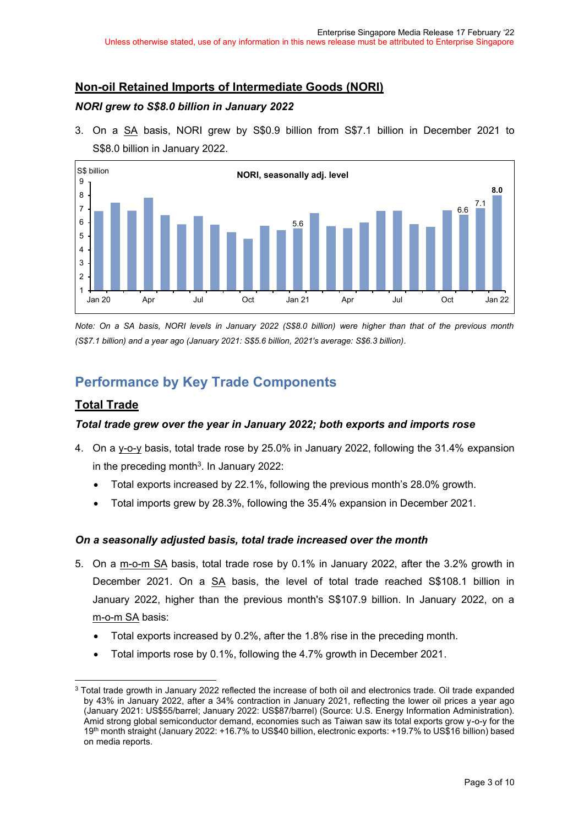## **Non-oil Retained Imports of Intermediate Goods (NORI)**

#### *NORI grew to S\$8.0 billion in January 2022*

3. On a SA basis, NORI grew by S\$0.9 billion from S\$7.1 billion in December 2021 to S\$8.0 billion in January 2022.



*Note: On a SA basis, NORI levels in January 2022 (S\$8.0 billion) were higher than that of the previous month (S\$7.1 billion) and a year ago (January 2021: S\$5.6 billion, 2021's average: S\$6.3 billion).*

# **Performance by Key Trade Components**

## **Total Trade**

## *Total trade grew over the year in January 2022; both exports and imports rose*

- 4. On a y-o-y basis, total trade rose by 25.0% in January 2022, following the 31.4% expansion in the preceding month $3$ . In January 2022:
	- Total exports increased by 22.1%, following the previous month's 28.0% growth.
	- Total imports grew by 28.3%, following the 35.4% expansion in December 2021.

## *On a seasonally adjusted basis, total trade increased over the month*

- 5. On a m-o-m SA basis, total trade rose by 0.1% in January 2022, after the 3.2% growth in December 2021. On a SA basis, the level of total trade reached S\$108.1 billion in January 2022, higher than the previous month's S\$107.9 billion. In January 2022, on a m-o-m SA basis:
	- Total exports increased by 0.2%, after the 1.8% rise in the preceding month.
	- Total imports rose by 0.1%, following the 4.7% growth in December 2021.

<sup>3</sup> Total trade growth in January 2022 reflected the increase of both oil and electronics trade. Oil trade expanded by 43% in January 2022, after a 34% contraction in January 2021, reflecting the lower oil prices a year ago (January 2021: US\$55/barrel; January 2022: US\$87/barrel) (Source: U.S. Energy Information Administration). Amid strong global semiconductor demand, economies such as Taiwan saw its total exports grow y-o-y for the 19th month straight (January 2022: +16.7% to US\$40 billion, electronic exports: +19.7% to US\$16 billion) based on media reports.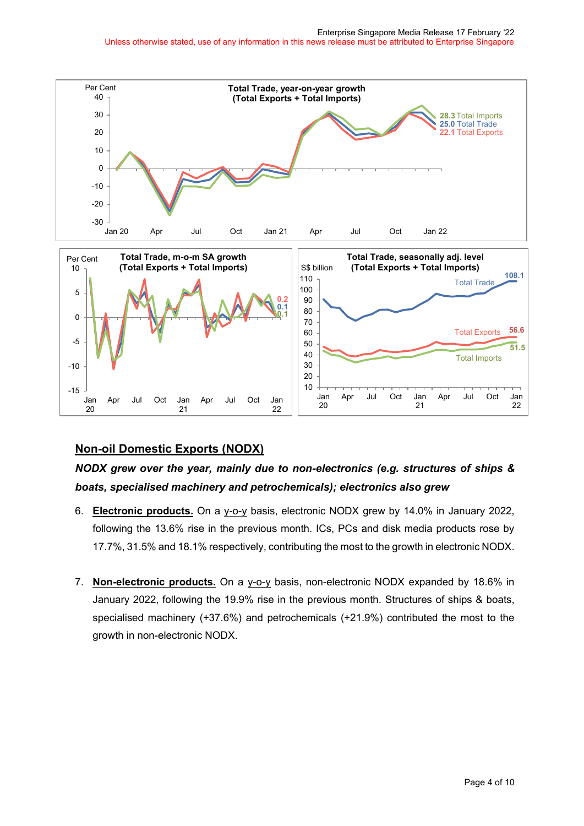

## **Non-oil Domestic Exports (NODX)**

# *NODX grew over the year, mainly due to non-electronics (e.g. structures of ships & boats, specialised machinery and petrochemicals); electronics also grew*

- 6. **Electronic products.** On a y-o-y basis, electronic NODX grew by 14.0% in January 2022, following the 13.6% rise in the previous month. ICs, PCs and disk media products rose by 17.7%, 31.5% and 18.1% respectively, contributing the most to the growth in electronic NODX.
- 7. **Non-electronic products.** On a y-o-y basis, non-electronic NODX expanded by 18.6% in January 2022, following the 19.9% rise in the previous month. Structures of ships & boats, specialised machinery (+37.6%) and petrochemicals (+21.9%) contributed the most to the growth in non-electronic NODX.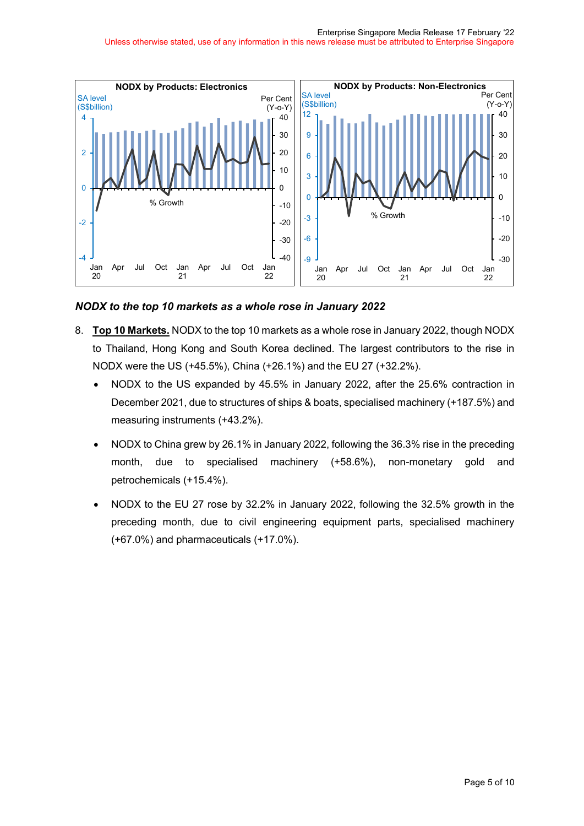#### Enterprise Singapore Media Release 17 February '22

Unless otherwise stated, use of any information in this news release must be attributed to Enterprise Singapore



*NODX to the top 10 markets as a whole rose in January 2022*

- 8. **Top 10 Markets.** NODX to the top 10 markets as a whole rose in January 2022, though NODX to Thailand, Hong Kong and South Korea declined. The largest contributors to the rise in NODX were the US (+45.5%), China (+26.1%) and the EU 27 (+32.2%).
	- NODX to the US expanded by 45.5% in January 2022, after the 25.6% contraction in December 2021, due to structures of ships & boats, specialised machinery (+187.5%) and measuring instruments (+43.2%).
	- NODX to China grew by 26.1% in January 2022, following the 36.3% rise in the preceding month, due to specialised machinery (+58.6%), non-monetary gold and petrochemicals (+15.4%).
	- NODX to the EU 27 rose by 32.2% in January 2022, following the 32.5% growth in the preceding month, due to civil engineering equipment parts, specialised machinery (+67.0%) and pharmaceuticals (+17.0%).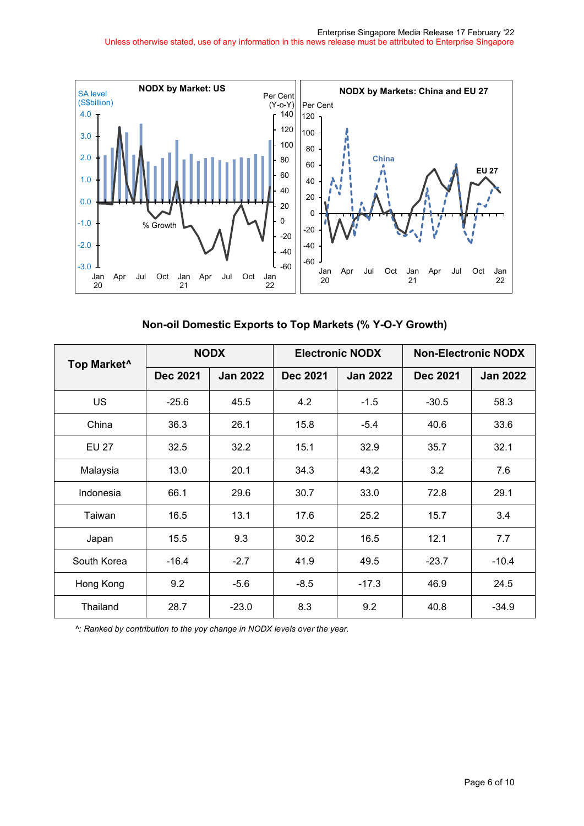

**Non-oil Domestic Exports to Top Markets (% Y-O-Y Growth)**

| Top Market <sup>^</sup> | <b>NODX</b>     |                 | <b>Electronic NODX</b> |                 | <b>Non-Electronic NODX</b> |                 |
|-------------------------|-----------------|-----------------|------------------------|-----------------|----------------------------|-----------------|
|                         | <b>Dec 2021</b> | <b>Jan 2022</b> | <b>Dec 2021</b>        | <b>Jan 2022</b> | <b>Dec 2021</b>            | <b>Jan 2022</b> |
| <b>US</b>               | $-25.6$         | 45.5            | 4.2                    | $-1.5$          | $-30.5$                    | 58.3            |
| China                   | 36.3            | 26.1            | 15.8                   | $-5.4$          | 40.6                       | 33.6            |
| <b>EU 27</b>            | 32.5            | 32.2            | 15.1                   | 32.9            | 35.7                       | 32.1            |
| Malaysia                | 13.0            | 20.1            | 34.3                   | 43.2            | 3.2                        | 7.6             |
| Indonesia               | 66.1            | 29.6            | 30.7                   | 33.0            | 72.8                       | 29.1            |
| Taiwan                  | 16.5            | 13.1            | 17.6                   | 25.2            | 15.7                       | 3.4             |
| Japan                   | 15.5            | 9.3             | 30.2                   | 16.5            | 12.1                       | 7.7             |
| South Korea             | $-16.4$         | $-2.7$          | 41.9                   | 49.5            | $-23.7$                    | $-10.4$         |
| Hong Kong               | 9.2             | $-5.6$          | $-8.5$                 | $-17.3$         | 46.9                       | 24.5            |
| Thailand                | 28.7            | $-23.0$         | 8.3                    | 9.2             | 40.8                       | $-34.9$         |

*^: Ranked by contribution to the yoy change in NODX levels over the year.*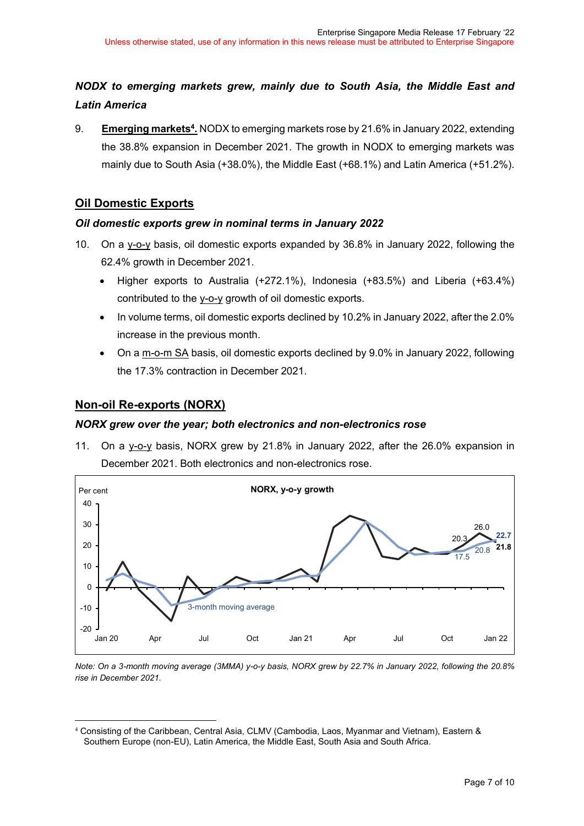# *NODX to emerging markets grew, mainly due to South Asia, the Middle East and Latin America*

9. **Emerging markets4.** NODX to emerging markets rose by 21.6% in January 2022, extending the 38.8% expansion in December 2021. The growth in NODX to emerging markets was mainly due to South Asia (+38.0%), the Middle East (+68.1%) and Latin America (+51.2%).

## **Oil Domestic Exports**

#### *Oil domestic exports grew in nominal terms in January 2022*

- 10. On a y-o-y basis, oil domestic exports expanded by 36.8% in January 2022, following the 62.4% growth in December 2021.
	- Higher exports to Australia (+272.1%), Indonesia (+83.5%) and Liberia (+63.4%) contributed to the y-o-y growth of oil domestic exports.
	- In volume terms, oil domestic exports declined by 10.2% in January 2022, after the 2.0% increase in the previous month.
	- On a m-o-m SA basis, oil domestic exports declined by 9.0% in January 2022, following the 17.3% contraction in December 2021.

## **Non-oil Re-exports (NORX)**

#### *NORX grew over the year; both electronics and non-electronics rose*

11. On a y-o-y basis, NORX grew by 21.8% in January 2022, after the 26.0% expansion in December 2021. Both electronics and non-electronics rose.



*Note: On a 3-month moving average (3MMA) y-o-y basis, NORX grew by 22.7% in January 2022, following the 20.8% rise in December 2021.*

<sup>4</sup> Consisting of the Caribbean, Central Asia, CLMV (Cambodia, Laos, Myanmar and Vietnam), Eastern & Southern Europe (non-EU), Latin America, the Middle East, South Asia and South Africa.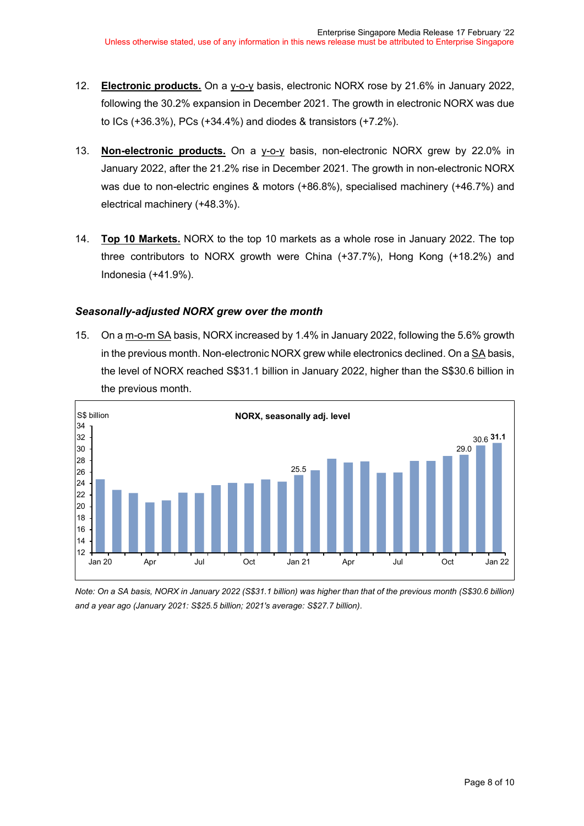- 12. **Electronic products.** On a y-o-y basis, electronic NORX rose by 21.6% in January 2022, following the 30.2% expansion in December 2021. The growth in electronic NORX was due to ICs (+36.3%), PCs (+34.4%) and diodes & transistors (+7.2%).
- 13. **Non-electronic products.** On a y-o-y basis, non-electronic NORX grew by 22.0% in January 2022, after the 21.2% rise in December 2021. The growth in non-electronic NORX was due to non-electric engines & motors (+86.8%), specialised machinery (+46.7%) and electrical machinery (+48.3%).
- 14. **Top 10 Markets.** NORX to the top 10 markets as a whole rose in January 2022. The top three contributors to NORX growth were China (+37.7%), Hong Kong (+18.2%) and Indonesia (+41.9%).

#### *Seasonally-adjusted NORX grew over the month*

15. On a m-o-m SA basis, NORX increased by 1.4% in January 2022, following the 5.6% growth in the previous month. Non-electronic NORX grew while electronics declined. On a SA basis, the level of NORX reached S\$31.1 billion in January 2022, higher than the S\$30.6 billion in the previous month.



*Note: On a SA basis, NORX in January 2022 (S\$31.1 billion) was higher than that of the previous month (S\$30.6 billion) and a year ago (January 2021: S\$25.5 billion; 2021's average: S\$27.7 billion).*